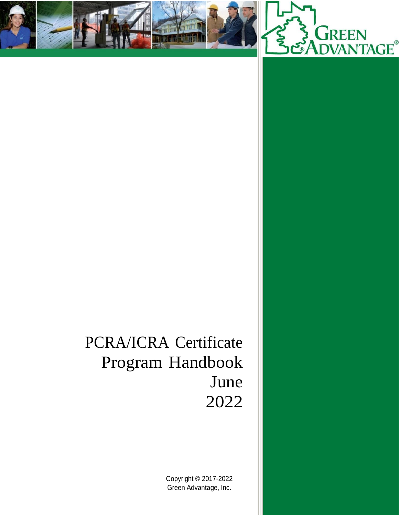



# PCRA/ICRA Certificate Program Handbook June 2022

Copyright © 2017-2022 Green Advantage, Inc.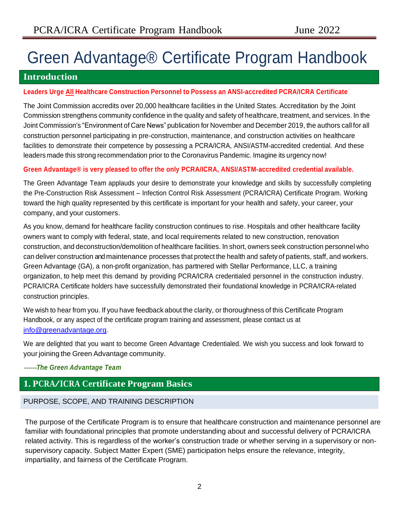# Green Advantage® Certificate Program Handbook

## **Introduction**

## **Leaders Urge All Healthcare Construction Personnel to Possess an ANSI-accredited PCRA/ICRA Certificate**

The Joint Commission accredits over 20,000 healthcare facilities in the United States. Accreditation by the Joint Commission strengthens community confidence in the quality and safety of healthcare, treatment, and services. In the Joint Commission's "Environment of Care News" publication for November and December 2019, the authors call for all construction personnel participating in pre-construction, maintenance, and construction activities on healthcare facilities to demonstrate their competence by possessing a PCRA/ICRA, ANSI/ASTM-accredited credential. And these leaders made this strong recommendation prior to the Coronavirus Pandemic. Imagine its urgency now!

## **Green Advantage® is very pleased to offer the only PCRA/ICRA, ANSI/ASTM-accredited credential available.**

The Green Advantage Team applauds your desire to demonstrate your knowledge and skills by successfully completing the Pre-Construction Risk Assessment – Infection Control Risk Assessment (PCRA/ICRA) Certificate Program. Working toward the high quality represented by this certificate is important for your health and safety, your career, your company, and your customers.

As you know, demand for healthcare facility construction continues to rise. Hospitals and other healthcare facility owners want to comply with federal, state, and local requirements related to new construction, renovation construction, and deconstruction/demolition of healthcare facilities. In short, owners seek construction personnel who can deliver construction and maintenance processes that protect the health and safety of patients, staff, and workers. Green Advantage (GA), a non-profit organization, has partnered with Stellar Performance, LLC, a training organization, to help meet this demand by providing PCRA/ICRA credentialed personnel in the construction industry. PCRA/ICRA Certificate holders have successfully demonstrated their foundational knowledge in PCRA/ICRA-related construction principles.

We wish to hear from you. If you have feedback about the clarity, or thoroughness of this Certificate Program Handbook, or any aspect of the certificate program training and assessment, please contact us at [info@greenadvantage.org.](mailto:info@greenadvantage.org)

We are delighted that you want to become Green Advantage Credentialed. We wish you success and look forward to your joining the Green Advantage community.

## ‐‐‐‐‐‐*The Green Advantage Team*

## **1. PCRA/ICRA Certificate Program Basics**

## PURPOSE, SCOPE, AND TRAINING DESCRIPTION

The purpose of the Certificate Program is to ensure that healthcare construction and maintenance personnel are familiar with foundational principles that promote understanding about and successful delivery of PCRA/ICRA related activity. This is regardless of the worker's construction trade or whether serving in a supervisory or nonsupervisory capacity. Subject Matter Expert (SME) participation helps ensure the relevance, integrity, impartiality, and fairness of the Certificate Program.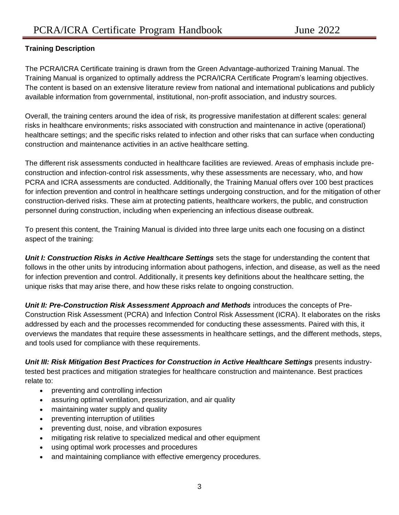## **Training Description**

The PCRA/ICRA Certificate training is drawn from the Green Advantage-authorized Training Manual. The Training Manual is organized to optimally address the PCRA/ICRA Certificate Program's learning objectives. The content is based on an extensive literature review from national and international publications and publicly available information from governmental, institutional, non-profit association, and industry sources.

Overall, the training centers around the idea of risk, its progressive manifestation at different scales: general risks in healthcare environments; risks associated with construction and maintenance in active (operational) healthcare settings; and the specific risks related to infection and other risks that can surface when conducting construction and maintenance activities in an active healthcare setting.

The different risk assessments conducted in healthcare facilities are reviewed. Areas of emphasis include preconstruction and infection-control risk assessments, why these assessments are necessary, who, and how PCRA and ICRA assessments are conducted. Additionally, the Training Manual offers over 100 best practices for infection prevention and control in healthcare settings undergoing construction, and for the mitigation of other construction-derived risks. These aim at protecting patients, healthcare workers, the public, and construction personnel during construction, including when experiencing an infectious disease outbreak.

To present this content, the Training Manual is divided into three large units each one focusing on a distinct aspect of the training:

*Unit I: Construction Risks in Active Healthcare Settings* sets the stage for understanding the content that follows in the other units by introducing information about pathogens, infection, and disease, as well as the need for infection prevention and control. Additionally, it presents key definitions about the healthcare setting, the unique risks that may arise there, and how these risks relate to ongoing construction.

*Unit II: Pre-Construction Risk Assessment Approach and Methods* introduces the concepts of Pre-Construction Risk Assessment (PCRA) and Infection Control Risk Assessment (ICRA). It elaborates on the risks addressed by each and the processes recommended for conducting these assessments. Paired with this, it overviews the mandates that require these assessments in healthcare settings, and the different methods, steps, and tools used for compliance with these requirements.

*Unit III: Risk Mitigation Best Practices for Construction in Active Healthcare Settings* presents industrytested best practices and mitigation strategies for healthcare construction and maintenance. Best practices relate to:

- preventing and controlling infection
- assuring optimal ventilation, pressurization, and air quality
- maintaining water supply and quality
- preventing interruption of utilities
- preventing dust, noise, and vibration exposures
- mitigating risk relative to specialized medical and other equipment
- using optimal work processes and procedures
- and maintaining compliance with effective emergency procedures.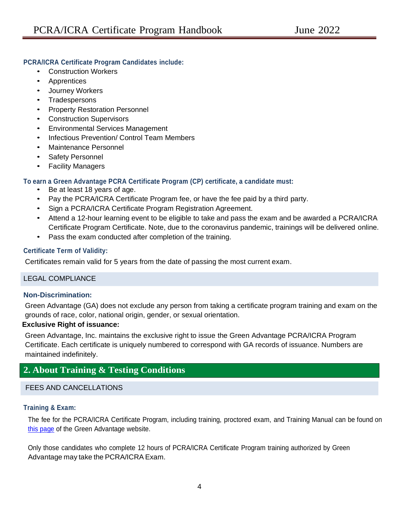## **PCRA/ICRA Certificate Program Candidates include:**

- Construction Workers
- Apprentices
- Journey Workers
- Tradespersons
- Property Restoration Personnel
- Construction Supervisors
- Environmental Services Management
- Infectious Prevention/ Control Team Members
- Maintenance Personnel
- Safety Personnel
- Facility Managers

## **To earn a Green Advantage PCRA Certificate Program (CP) certificate, a candidate must:**

- Be at least 18 years of age.
- Pay the PCRA/ICRA Certificate Program fee, or have the fee paid by a third party.
- Sign a PCRA/ICRA Certificate Program Registration Agreement.
- Attend a 12-hour learning event to be eligible to take and pass the exam and be awarded a PCRA/ICRA Certificate Program Certificate. Note, due to the coronavirus pandemic, trainings will be delivered online.
- Pass the exam conducted after completion of the training.

## **Certificate Term of Validity:**

Certificates remain valid for 5 years from the date of passing the most current exam.

## LEGAL COMPLIANCE

## **Non-Discrimination:**

Green Advantage (GA) does not exclude any person from taking a certificate program training and exam on the grounds of race, color, national origin, gender, or sexual orientation.

## **Exclusive Right of issuance:**

Green Advantage, Inc. maintains the exclusive right to issue the Green Advantage PCRA/ICRA Program Certificate. Each certificate is uniquely numbered to correspond with GA records of issuance. Numbers are maintained indefinitely.

## **2. About Training & Testing Conditions**

## FFES AND CANCELLATIONS

## **Training & Exam:**

The fee for the PCRA/ICRA Certificate Program, including training, proctored exam, and Training Manual can be found on [this page](https://greenadvantage.org/pcra-certificate-program) of the Green Advantage website.

Only those candidates who complete 12 hours of PCRA/ICRA Certificate Program training authorized by Green Advantage may take the PCRA/ICRA Exam.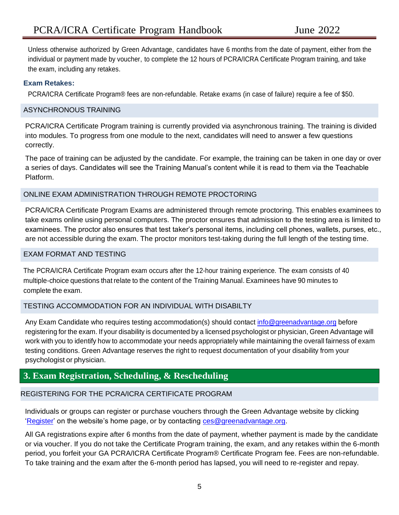Unless otherwise authorized by Green Advantage, candidates have 6 months from the date of payment, either from the individual or payment made by voucher, to complete the 12 hours of PCRA/ICRA Certificate Program training, and take the exam, including any retakes.

## **Exam Retakes:**

PCRA/ICRA Certificate Program® fees are non-refundable. Retake exams (in case of failure) require a fee of \$50.

## ASYNCHRONOUS TRAINING

PCRA/ICRA Certificate Program training is currently provided via asynchronous training. The training is divided into modules. To progress from one module to the next, candidates will need to answer a few questions correctly.

The pace of training can be adjusted by the candidate. For example, the training can be taken in one day or over a series of days. Candidates will see the Training Manual's content while it is read to them via the Teachable Platform.

## ONLINE EXAM ADMINISTRATION THROUGH REMOTE PROCTORING

PCRA/ICRA Certificate Program Exams are administered through remote proctoring. This enables examinees to take exams online using personal computers. The proctor ensures that admission to the testing area is limited to examinees. The proctor also ensures that test taker's personal items, including cell phones, wallets, purses, etc., are not accessible during the exam. The proctor monitors test-taking during the full length of the testing time.

## EXAM FORMAT AND TESTING

The PCRA/ICRA Certificate Program exam occurs after the 12-hour training experience. The exam consists of 40 multiple-choice questions that relate to the content of the Training Manual. Examinees have 90 minutes to complete the exam.

## TESTING ACCOMMODATION FOR AN INDIVIDUAL WITH DISABILTY

Any Exam Candidate who requires testing accommodation(s) should contact [info@greenadvantage.org](mailto:info@greenadvantage.org) before registering for the exam. If your disability is documented by a licensed psychologist or physician, Green Advantage will work with you to identify how to accommodate your needs appropriately while maintaining the overall fairness of exam testing conditions. Green Advantage reserves the right to request documentation of your disability from your psychologist or physician.

## **3. Exam Registration, Scheduling, & Rescheduling**

## REGISTERING FOR THE PCRA/ICRA CERTIFICATE PROGRAM

Individuals or groups can register or purchase vouchers through the Green Advantage website by clicking ['Register'](https://greenadvantage.org/register) on the website's home page, or by contacting [ces@greenadvantage.org.](mailto:ces@greenadvantage.org)

All GA registrations expire after 6 months from the date of payment, whether payment is made by the candidate or via voucher. If you do not take the Certificate Program training, the exam, and any retakes within the 6-month period, you forfeit your GA PCRA/ICRA Certificate Program® Certificate Program fee. Fees are non-refundable. To take training and the exam after the 6-month period has lapsed, you will need to re-register and repay.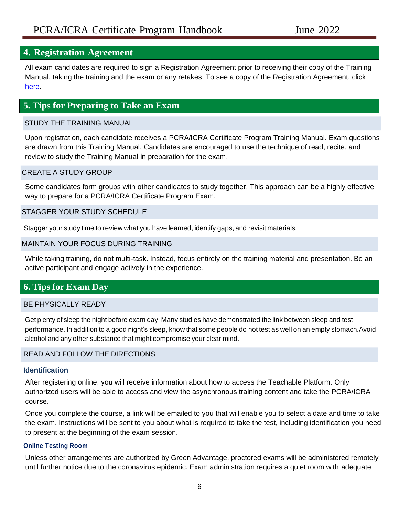## **4. Registration Agreement**

All exam candidates are required to sign a Registration Agreement prior to receiving their copy of the Training Manual, taking the training and the exam or any retakes. To see a copy of the Registration Agreement, click [here.](https://greenadvantage.org/wp-content/uploads/2022/02/Registration-Agreement-PCRA-ICRA-Certificate-Program-Feb-2022.pdf)

## **5. Tips for Preparing to Take an Exam**

## STUDY THE TRAINING MANUAL

Upon registration, each candidate receives a PCRA/ICRA Certificate Program Training Manual. Exam questions are drawn from this Training Manual. Candidates are encouraged to use the technique of read, recite, and review to study the Training Manual in preparation for the exam.

## CREATE A STUDY GROUP

Some candidates form groups with other candidates to study together. This approach can be a highly effective way to prepare for a PCRA/ICRA Certificate Program Exam.

## STAGGER YOUR STUDY SCHEDULE

Stagger your study time to review what you have learned, identify gaps, and revisit materials.

#### MAINTAIN YOUR FOCUS DURING TRAINING

While taking training, do not multi-task. Instead, focus entirely on the training material and presentation. Be an active participant and engage actively in the experience.

## **6. Tips for Exam Day**

## BE PHYSICALLY READY

Get plenty of sleep the night before exam day. Many studies have demonstrated the link between sleep and test performance. In addition to a good night's sleep, know that some people do not test as well on an empty stomach.Avoid alcohol and any other substance that might compromise your clear mind.

## READ AND FOLLOW THE DIRECTIONS

#### **Identification**

After registering online, you will receive information about how to access the Teachable Platform. Only authorized users will be able to access and view the asynchronous training content and take the PCRA/ICRA course.

Once you complete the course, a link will be emailed to you that will enable you to select a date and time to take the exam. Instructions will be sent to you about what is required to take the test, including identification you need to present at the beginning of the exam session.

## **Online Testing Room**

Unless other arrangements are authorized by Green Advantage, proctored exams will be administered remotely until further notice due to the coronavirus epidemic. Exam administration requires a quiet room with adequate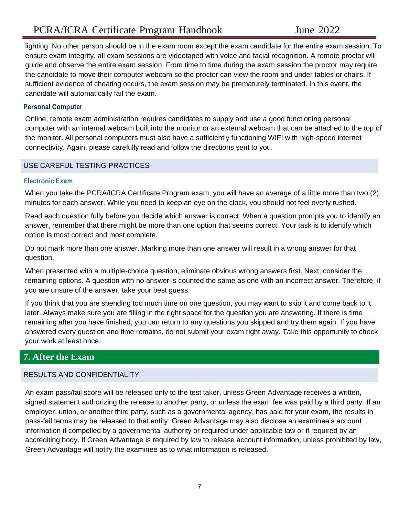## PCRA/ICRA Certificate Program Handbook June 2022

lighting. No other person should be in the exam room except the exam candidate for the entire exam session. To ensure exam integrity, all exam sessions are videotaped with voice and facial recognition. A remote proctor will guide and observe the entire exam session. From time to time during the exam session the proctor may require the candidate to move their computer webcam so the proctor can view the room and under tables or chairs. If sufficient evidence of cheating occurs, the exam session may be prematurely terminated. In this event, the candidate will automatically fail the exam.

## **Personal Computer**

Online, remote exam administration requires candidates to supply and use a good functioning personal computer with an internal webcam built into the monitor or an external webcam that can be attached to the top of the monitor. All personal computers must also have a sufficiently functioning WIFI with high-speed internet connectivity. Again, please carefully read and follow the directions sent to you.

## USE CAREFUL TESTING PRACTICES

#### **Electronic Exam**

When you take the PCRA/ICRA Certificate Program exam, you will have an average of a little more than two (2) minutes for each answer. While you need to keep an eye on the clock, you should not feel overly rushed.

Read each question fully before you decide which answer is correct. When a question prompts you to identify an answer, remember that there might be more than one option that seems correct. Your task is to identify which option is most correct and most complete.

Do not mark more than one answer. Marking more than one answer will result in a wrong answer for that question.

When presented with a multiple-choice question, eliminate obvious wrong answers first. Next, consider the remaining options. A question with no answer is counted the same as one with an incorrect answer. Therefore, if you are unsure of the answer, take your best guess.

If you think that you are spending too much time on one question, you may want to skip it and come back to it later. Always make sure you are filling in the right space for the question you are answering. If there is time remaining after you have finished, you can return to any questions you skipped and try them again. If you have answered every question and time remains, do not submit your exam right away. Take this opportunity to check your work at least once.

## **7. After the Exam**

## RESULTS AND CONFIDENTIALITY

An exam pass/fail score will be released only to the test taker, unless Green Advantage receives a written, signed statement authorizing the release to another party, or unless the exam fee was paid by a third party. If an employer, union, or another third party, such as a governmental agency, has paid for your exam, the results in pass-fail terms may be released to that entity. Green Advantage may also disclose an examinee's account information if compelled by a governmental authority or required under applicable law or if required by an accrediting body. If Green Advantage is required by law to release account information, unless prohibited by law, Green Advantage will notify the examinee as to what information is released.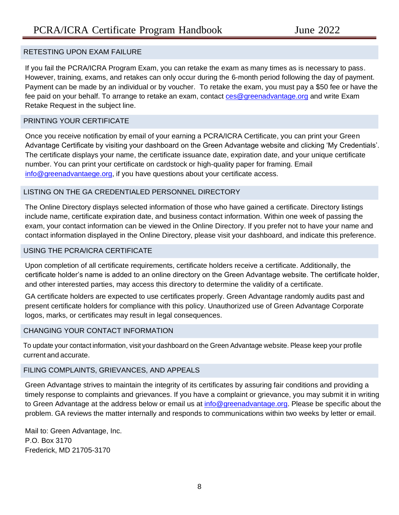## RETESTING UPON EXAM FAILURE

If you fail the PCRA/ICRA Program Exam, you can retake the exam as many times as is necessary to pass. However, training, exams, and retakes can only occur during the 6-month period following the day of payment. Payment can be made by an individual or by voucher. To retake the exam, you must pay a \$50 fee or have the fee paid on your behalf. To arrange to retake an exam, contact [ces@greenadvantage.org](mailto:ces@greenadvantage.org) and write Exam Retake Request in the subject line.

#### PRINTING YOUR CERTIFICATE

Once you receive notification by email of your earning a PCRA/ICRA Certificate, you can print your Green Advantage Certificate by visiting your dashboard on the Green Advantage website and clicking 'My Credentials'. The certificate displays your name, the certificate issuance date, expiration date, and your unique certificate number. You can print your certificate on cardstock or high-quality paper for framing. Email [info@greenadvantaege.org,](mailto:info@greenadvantaege.org) if you have questions about your certificate access.

## LISTING ON THE GA CREDENTIALED PERSONNEL DIRECTORY

The Online Directory displays selected information of those who have gained a certificate. Directory listings include name, certificate expiration date, and business contact information. Within one week of passing the exam, your contact information can be viewed in the Online Directory. If you prefer not to have your name and contact information displayed in the Online Directory, please visit your dashboard, and indicate this preference.

## USING THE PCRA/ICRA CERTIFICATE

Upon completion of all certificate requirements, certificate holders receive a certificate. Additionally, the certificate holder's name is added to an online directory on the Green Advantage website. The certificate holder, and other interested parties, may access this directory to determine the validity of a certificate.

GA certificate holders are expected to use certificates properly. Green Advantage randomly audits past and present certificate holders for compliance with this policy. Unauthorized use of Green Advantage Corporate logos, marks, or certificates may result in legal consequences.

## CHANGING YOUR CONTACT INFORMATION

To update your contact information, visit your dashboard on the Green Advantage website. Please keep your profile current and accurate.

## FILING COMPLAINTS, GRIEVANCES, AND APPEALS

Green Advantage strives to maintain the integrity of its certificates by assuring fair conditions and providing a timely response to complaints and grievances. If you have a complaint or grievance, you may submit it in writing to Green Advantage at the address below or email us at [info@greenadvantage.org.](mailto:info@greenadvantage.org) Please be specific about the problem. GA reviews the matter internally and responds to communications within two weeks by letter or email.

Mail to: Green Advantage, Inc. P.O. Box 3170 Frederick, MD 21705-3170